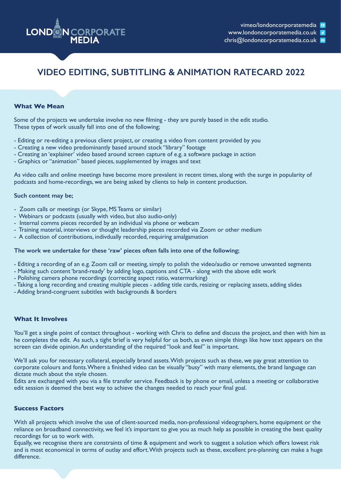

chris@londoncorporatemedia.co.uk

# **VIDEO EDITING, SUBTITLING & ANIMATION RATECARD 2022**

#### **What We Mean**

Some of the projects we undertake involve no new filming - they are purely based in the edit studio. These types of work usually fall into one of the following;

- Editing or re-editing a previous client project, or creating a video from content provided by you
- Creating a new video predominantly based around stock "library" footage
- Creating an 'explainer' video based around screen capture of e.g. a software package in action
- Graphics or "animation" based pieces, supplemented by images and text

As video calls and online meetings have become more prevalent in recent times, along with the surge in popularity of podcasts and home-recordings, we are being asked by clients to help in content production.

#### **Such content may be;**

- Zoom calls or meetings (or Skype, MS Teams or similar)
- Webinars or podcasts (usually with video, but also audio-only)
- Internal comms pieces recorded by an individual via phone or webcam
- Training material, interviews or thought leadership pieces recorded via Zoom or other medium
- A collection of contributions, indivdually recorded, requiring amalgamation

#### **The work we undertake for these 'raw' pieces often falls into one of the following;**

- Editing a recording of an e.g. Zoom call or meeting, simply to polish the video/audio or remove unwanted segments
- Making such content 'brand-ready' by adding logo, captions and CTA along with the above edit work
- Polishing camera phone recordings (correcting aspect ratio, watermarking)
- Taking a long recording and creating multiple pieces adding title cards, resizing or replacing assets, adding slides
- Adding brand-congruent subtitles with backgrounds & borders

#### **What It Involves**

You'll get a single point of contact throughout - working with Chris to define and discuss the project, and then with him as he completes the edit. As such, a tight brief is very helpful for us both, as even simple things like how text appears on the screen can divide opinion. An understanding of the required "look and feel" is important.

We'll ask you for necessary collateral, especially brand assets. With projects such as these, we pay great attention to corporate colours and fonts. Where a finished video can be visually "busy" with many elements, the brand language can dictate much about the style chosen.

Edits are exchanged with you via a file transfer service. Feedback is by phone or email, unless a meeting or collaborative edit session is deemed the best way to achieve the changes needed to reach your final goal.

#### **Success Factors**

With all projects which involve the use of client-sourced media, non-professional videographers, home equipment or the reliance on broadband connectivity, we feel it's important to give you as much help as possible in creating the best quality recordings for us to work with.

Equally, we recognise there are constraints of time & equipment and work to suggest a solution which offers lowest risk and is most economical in terms of outlay and effort. With projects such as these, excellent pre-planning can make a huge difference.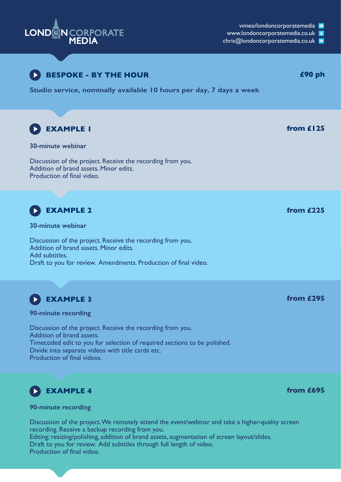

vimeo/londoncorporatemedia **o** 

**from £695**

www.londoncorporatemedia.co.uk

chris@londoncorporatemedia.co.uk





**90-minute recording**

Discussion of the project. We remotely attend the event/webinar and take a higher-quality screen recording. Receive a backup recording from you. Editing: resizing/polishing, addition of brand assets, augmentation of screen layout/slides. Draft to you for review. Add subtitles through full length of video. Production of final video.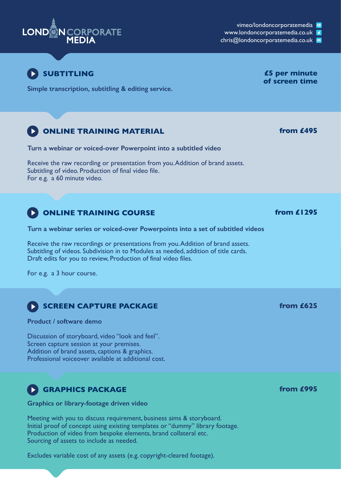

vimeo/londoncorporatemedia **o** 

www.londoncorporatemedia.co.uk

chris@londoncorporatemedia.co.uk



**Simple transcription, subtitling & editing service.**

# **ONLINE TRAINING MATERIAL** *from £495*

**Turn a webinar or voiced-over Powerpoint into a subtitled video**

Receive the raw recording or presentation from you. Addition of brand assets. Subtitling of video. Production of final video file. For e.g. a 60 minute video.

# **ONLINE TRAINING COURSE** *from £1295*

**Turn a webinar series or voiced-over Powerpoints into a set of subtitled videos**

Receive the raw recordings or presentations from you. Addition of brand assets. Subtitling of videos. Subdivision in to Modules as needed, addition of title cards. Draft edits for you to review, Production of final video files.

For e.g. a 3 hour course.

# **SCREEN CAPTURE PACKAGE**

### **Product / software demo**

Discussion of storyboard, video "look and feel". Screen capture session at your premises. Addition of brand assets, captions & graphics. Professional voiceover available at additional cost.

# **GRAPHICS PACKAGE**

**Graphics or library-footage driven video**

Meeting with you to discuss requirement, business aims & storyboard. Initial proof of concept using existing templates or "dummy" library footage. Production of video from bespoke elements, brand collateral etc. Sourcing of assets to include as needed.

Excludes variable cost of any assets (e.g. copyright-cleared footage).

# **of screen time**

**from £625**

**from £995**